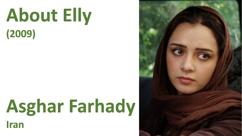# About Elly  $(2009)$

# Asghar Farhady

Iran

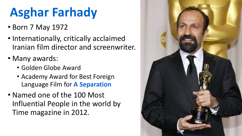#### **Asghar Farhady**

- Born 7 May 1972
- Internationally, critically acclaimed Iranian film director and screenwriter.
- Many awards:
	- Golden Globe Award
	- Academy Award for Best Foreign Language Film for **A Separation**
- Named one of the 100 Most Influential People in the world by Time magazine in 2012.

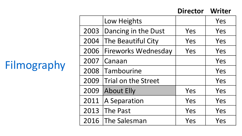#### Filmography

|      | Low Heights                |     | Yes |
|------|----------------------------|-----|-----|
| 2003 | Dancing in the Dust        | Yes | Yes |
| 2004 | The Beautiful City         | Yes | Yes |
| 2006 | <b>Fireworks Wednesday</b> | Yes | Yes |
| 2007 | Canaan                     |     | Yes |
| 2008 | Tambourine                 |     | Yes |
| 2009 | Trial on the Street        |     | Yes |
| 2009 | <b>About Elly</b>          | Yes | Yes |
| 2011 | A Separation               | Yes | Yes |
| 2013 | The Past                   | Yes | Yes |
| 2016 | The Salesman               | Yes | Yes |

**Director Writer**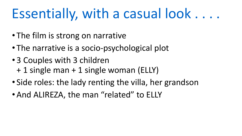#### Essentially, with a casual look....

- The film is strong on narrative
- The narrative is a socio-psychological plot
- 3 Couples with 3 children + 1 single man + 1 single woman (ELLY)
- Side roles: the lady renting the villa, her grandson
- And ALIREZA, the man "related" to ELLY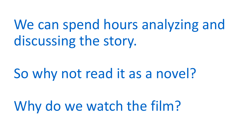We can spend hours analyzing and discussing the story.

#### So why not read it as a novel?

Why do we watch the film?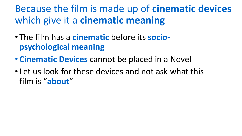#### Because the film is made up of **cinematic devices** which give it a **cinematic meaning**

- The film has a **cinematic** before its **sociopsychological meaning**
- **Cinematic Devices** cannot be placed in a Novel
- Let us look for these devices and not ask what this film is "**about**"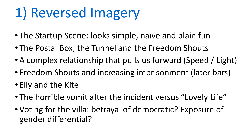# 1) Reversed Imagery

- The Startup Scene: looks simple, naïve and plain fun
- The Postal Box, the Tunnel and the Freedom Shouts
- A complex relationship that pulls us forward (Speed / Light)
- Freedom Shouts and increasing imprisonment (later bars)
- Elly and the Kite
- The horrible vomit after the incident versus "Lovely Life".
- Voting for the villa: betrayal of democratic? Exposure of gender differential?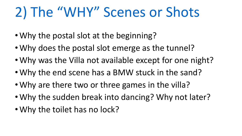## 2) The "WHY" Scenes or Shots

- Why the postal slot at the beginning?
- Why does the postal slot emerge as the tunnel?
- Why was the Villa not available except for one night?
- Why the end scene has a BMW stuck in the sand?
- Why are there two or three games in the villa?
- Why the sudden break into dancing? Why not later?
- Why the toilet has no lock?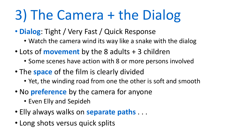### 3) The Camera + the Dialog

- **Dialog**: Tight / Very Fast / Quick Response
	- Watch the camera wind its way like a snake with the dialog
- Lots of **movement** by the 8 adults + 3 children
	- Some scenes have action with 8 or more persons involved
- The **space** of the film is clearly divided
	- Yet, the winding road from one the other is soft and smooth
- No **preference** by the camera for anyone
	- Even Elly and Sepideh
- Elly always walks on **separate paths** . . .
- Long shots versus quick splits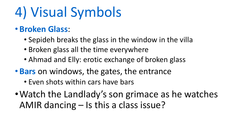#### 4) Visual Symbols

#### • **Broken Glass**:

- Sepideh breaks the glass in the window in the villa
- Broken glass all the time everywhere
- Ahmad and Elly: erotic exchange of broken glass
- **Bars** on windows, the gates, the entrance
	- Even shots within cars have bars
- •Watch the Landlady's son grimace as he watches AMIR dancing – Is this a class issue?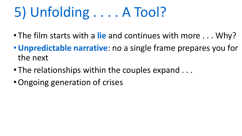# 5) Unfolding . . . . A Tool?

- The film starts with a **lie** and continues with more . . . Why?
- •**Unpredictable narrative**: no a single frame prepares you for the next
- The relationships within the couples expand  $\dots$
- •Ongoing generation of crises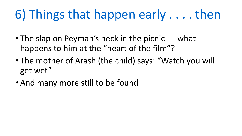#### 6) Things that happen early . . . . then

- The slap on Peyman's neck in the picnic --- what happens to him at the "heart of the film"?
- The mother of Arash (the child) says: "Watch you will get wet"
- And many more still to be found